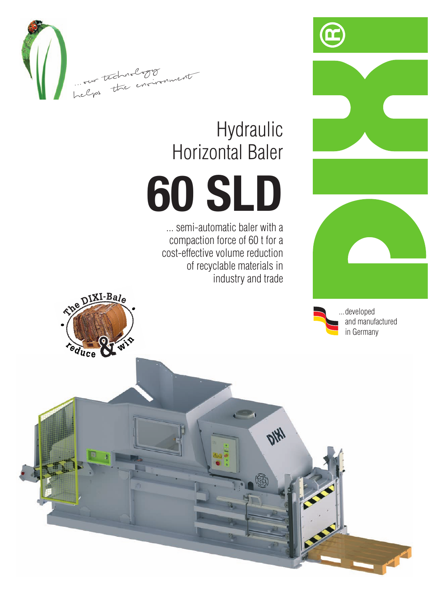







## Hydraulic **Horizontal Baler**

## **60 SLD**

... semi-automatic baler with a compaction force of 60 t for a cost-effective volume reduction of recyclable materials in industry and trade

**DIKY**